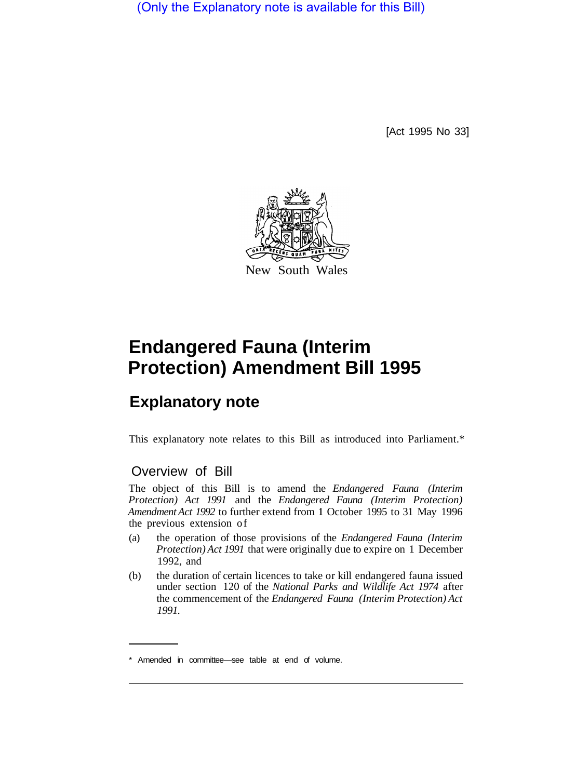(Only the Explanatory note is available for this Bill)

[Act 1995 No 33]



## **Endangered Fauna (Interim Protection) Amendment Bill 1995**

## **Explanatory note**

This explanatory note relates to this Bill as introduced into Parliament.\*

## Overview of Bill

The object of this Bill is to amend the *Endangered Fauna (Interim Protection) Act 1991* and the *Endangered Fauna (Interim Protection) Amendment Act 1992* to further extend from **1** October 1995 to 31 May 1996 the previous extension of

- (a) the operation of those provisions of the *Endangered Fauna (Interim Protection) Act 1991* that were originally due to expire on 1 December 1992, and
- (b) the duration of certain licences to take or kill endangered fauna issued under section 120 of the *National Parks and Wildlife Act 1974* after the commencement of the *Endangered Fauna (Interim Protection) Act 1991.*

<sup>\*</sup> Amended in committee—see table at end of volume.